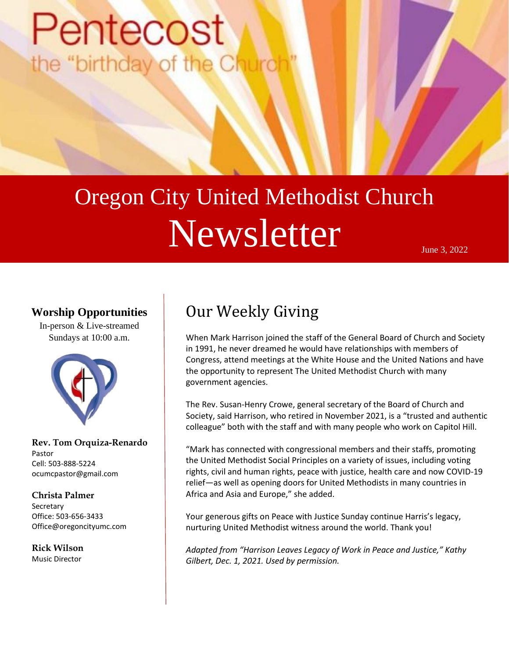# Pentecost the "birthday of the Chu

# Oregon City United Methodist Church Newsletter June 3, 2022

### **Worship Opportunities**

In-person & Live-streamed Sundays at 10:00 a.m.



**Rev. Tom Orquiza-Renardo** Pastor Cell: 503-888-5224 ocumcpastor@gmail.com

### **Christa Palmer Secretary** Office: 503-656-3433 Office@oregoncityumc.com

**Rick Wilson** Music Director

### Our Weekly Giving

When Mark Harrison joined the staff of the General Board of Church and Society in 1991, he never dreamed he would have relationships with members of Congress, attend meetings at the White House and the United Nations and have the opportunity to represent The United Methodist Church with many government agencies.

The Rev. Susan-Henry Crowe, general secretary of the Board of Church and Society, said Harrison, who retired in November 2021, is a "trusted and authentic colleague" both with the staff and with many people who work on Capitol Hill.

"Mark has connected with congressional members and their staffs, promoting the United Methodist Social Principles on a variety of issues, including voting rights, civil and human rights, peace with justice, health care and now COVID-19 relief—as well as opening doors for United Methodists in many countries in Africa and Asia and Europe," she added.

Your generous gifts on Peace with Justice Sunday continue Harris's legacy, nurturing United Methodist witness around the world. Thank you!

*Adapted from "Harrison Leaves Legacy of Work in Peace and Justice," Kathy Gilbert, Dec. 1, 2021. Used by permission.*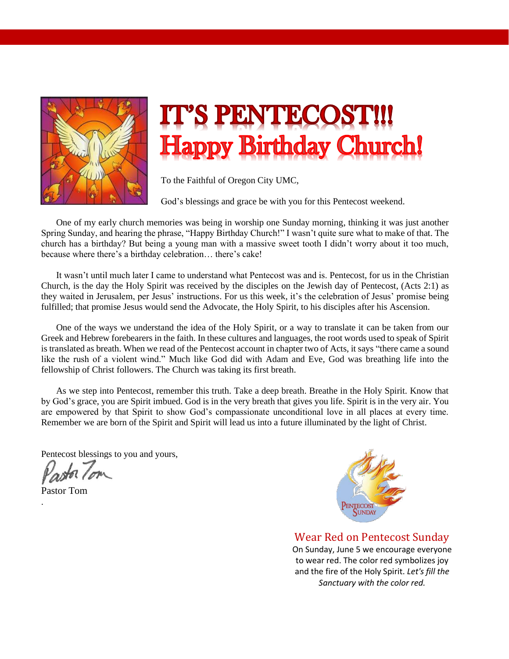

## L'S PENTECO **Happy Birthday Church!**

To the Faithful of Oregon City UMC,

God's blessings and grace be with you for this Pentecost weekend.

One of my early church memories was being in worship one Sunday morning, thinking it was just another Spring Sunday, and hearing the phrase, "Happy Birthday Church!" I wasn't quite sure what to make of that. The church has a birthday? But being a young man with a massive sweet tooth I didn't worry about it too much, because where there's a birthday celebration… there's cake!

It wasn't until much later I came to understand what Pentecost was and is. Pentecost, for us in the Christian Church, is the day the Holy Spirit was received by the disciples on the Jewish day of Pentecost, (Acts 2:1) as they waited in Jerusalem, per Jesus' instructions. For us this week, it's the celebration of Jesus' promise being fulfilled; that promise Jesus would send the Advocate, the Holy Spirit, to his disciples after his Ascension.

One of the ways we understand the idea of the Holy Spirit, or a way to translate it can be taken from our Greek and Hebrew forebearers in the faith. In these cultures and languages, the root words used to speak of Spirit is translated as breath. When we read of the Pentecost account in chapter two of Acts, it says "there came a sound like the rush of a violent wind." Much like God did with Adam and Eve, God was breathing life into the fellowship of Christ followers. The Church was taking its first breath.

As we step into Pentecost, remember this truth. Take a deep breath. Breathe in the Holy Spirit. Know that by God's grace, you are Spirit imbued. God is in the very breath that gives you life. Spirit is in the very air. You are empowered by that Spirit to show God's compassionate unconditional love in all places at every time. Remember we are born of the Spirit and Spirit will lead us into a future illuminated by the light of Christ.

Pentecost blessings to you and yours,

Pastor Tom

.



Wear Red on Pentecost Sunday On Sunday, June 5 we encourage everyone to wear red. The color red symbolizes joy and the fire of the Holy Spirit. *Let's fill the Sanctuary with the color red.*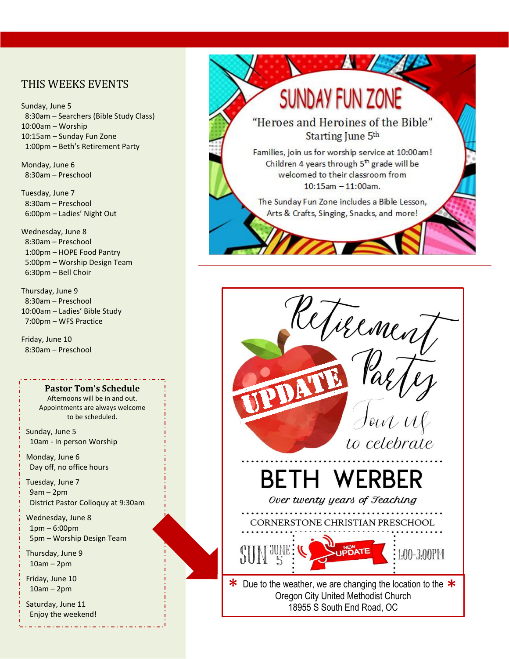### THIS WEEKS EVENTS

Sunday, June 5 8:30am – Searchers (Bible Study Class) 10:00am – Worship 10:15am – Sunday Fun Zone 1:00pm – Beth's Retirement Party

Monday, June 6 8:30am – Preschool

Tuesday, June 7 8:30am – Preschool 6:00pm – Ladies' Night Out

Wednesday, June 8 8:30am – Preschool 1:00pm – HOPE Food Pantry 5:00pm – Worship Design Team 6:30pm – Bell Choir

Thursday, June 9 8:30am – Preschool 10:00am – Ladies' Bible Study 7:00pm – WFS Practice

Friday, June 10 8:30am – Preschool

#### **Pastor Tom's Schedule**  Afternoons will be in and out.

Appointments are always welcome to be scheduled.

Sunday, June 5 10am - In person Worship

Monday, June 6 Day off, no office hours

Tuesday, June 7 9am – 2pm District Pastor Colloquy at 9:30am

Wednesday, June 8 1pm – 6:00pm 5pm – Worship Design Team

Thursday, June 9 10am – 2pm

Friday, June 10 10am – 2pm

Saturday, June 11 Enjoy the weekend!